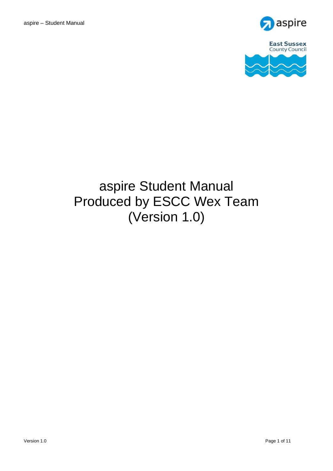



# aspire Student Manual Produced by ESCC Wex Team (Version 1.0)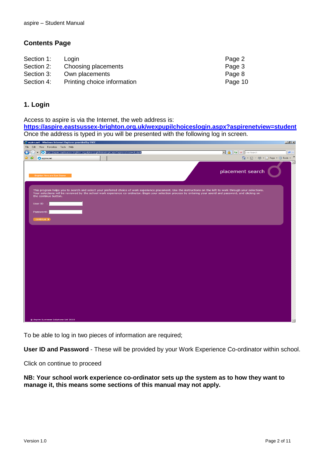### **Contents Page**

| Login | Page 2                                                               |
|-------|----------------------------------------------------------------------|
|       | Page 3                                                               |
|       | Page 8                                                               |
|       | Page 10                                                              |
|       | Choosing placements<br>Own placements<br>Printing choice information |

## **1. Login**

Access to aspire is via the Internet, the web address is:

**<https://aspire.eastsussex-brighton.org.uk/wexpupilchoiceslogin.aspx?aspirenetview=student>** Once the address is typed in you will be presented with the following log in screen.

| aspire.net - Windows Internet Explorer provided by ESCC                                                           | $\Box$ $\Box$ $\times$                                                                                                                                                                                                                                                                                                               |
|-------------------------------------------------------------------------------------------------------------------|--------------------------------------------------------------------------------------------------------------------------------------------------------------------------------------------------------------------------------------------------------------------------------------------------------------------------------------|
| File Edit View Favorites Tools Help                                                                               |                                                                                                                                                                                                                                                                                                                                      |
| https://aspire.eastsussex-brighton.org.uk/wexpupilchoiceslogin.aspx?aspirenetview=student<br>$\blacktriangledown$ | $\boxed{\cdot}$ $\boxed{4}$ $\boxed{\cdot}$ $\boxed{\cdot}$ $\boxed{\cdot}$ Live Search<br> p                                                                                                                                                                                                                                        |
| ಿತ<br>aspire.net                                                                                                  | $\,$<br><b>合 回 - 曲 日 Page - 〇 Tools -</b>                                                                                                                                                                                                                                                                                            |
| <b>Brighton Hove and East Sussex</b>                                                                              | placement search                                                                                                                                                                                                                                                                                                                     |
| the continue button.<br>User ID :                                                                                 | This program helps you to search and select your preferred choice of work experience placement. Use the instructions on the left to work through your selections.<br>Your selections will be reviewed by the school work experience co-ordinator. Begin your selection process by entering your userid and password, and clicking on |
| Password:                                                                                                         |                                                                                                                                                                                                                                                                                                                                      |
| continue <b>F</b>                                                                                                 |                                                                                                                                                                                                                                                                                                                                      |
|                                                                                                                   |                                                                                                                                                                                                                                                                                                                                      |
|                                                                                                                   |                                                                                                                                                                                                                                                                                                                                      |
|                                                                                                                   |                                                                                                                                                                                                                                                                                                                                      |
|                                                                                                                   |                                                                                                                                                                                                                                                                                                                                      |
|                                                                                                                   |                                                                                                                                                                                                                                                                                                                                      |
|                                                                                                                   |                                                                                                                                                                                                                                                                                                                                      |
|                                                                                                                   |                                                                                                                                                                                                                                                                                                                                      |
|                                                                                                                   |                                                                                                                                                                                                                                                                                                                                      |
|                                                                                                                   |                                                                                                                                                                                                                                                                                                                                      |
|                                                                                                                   |                                                                                                                                                                                                                                                                                                                                      |
|                                                                                                                   |                                                                                                                                                                                                                                                                                                                                      |
|                                                                                                                   |                                                                                                                                                                                                                                                                                                                                      |
|                                                                                                                   |                                                                                                                                                                                                                                                                                                                                      |
|                                                                                                                   |                                                                                                                                                                                                                                                                                                                                      |
|                                                                                                                   |                                                                                                                                                                                                                                                                                                                                      |
|                                                                                                                   |                                                                                                                                                                                                                                                                                                                                      |
| @ Aspire Business Solutions Ltd 2010                                                                              |                                                                                                                                                                                                                                                                                                                                      |

To be able to log in two pieces of information are required;

**User ID and Password** - These will be provided by your Work Experience Co-ordinator within school.

Click on continue to proceed

**NB: Your school work experience co-ordinator sets up the system as to how they want to manage it, this means some sections of this manual may not apply.**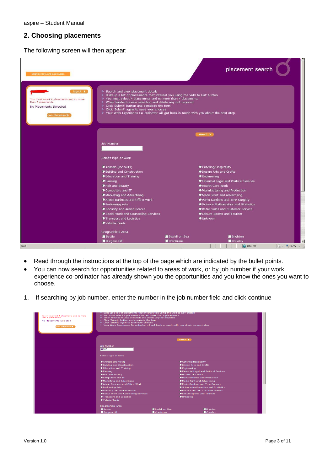aspire – Student Manual

## **2. Choosing placements**

The following screen will then appear:

| <b>Brighton Hove and East Sussex</b>                                                                                                     |                                                                                                                                                                                                                                                                                                                                                                                                                                                |                                            | placement search                                                                                                                                                                                                                                                                                                                                                             |
|------------------------------------------------------------------------------------------------------------------------------------------|------------------------------------------------------------------------------------------------------------------------------------------------------------------------------------------------------------------------------------------------------------------------------------------------------------------------------------------------------------------------------------------------------------------------------------------------|--------------------------------------------|------------------------------------------------------------------------------------------------------------------------------------------------------------------------------------------------------------------------------------------------------------------------------------------------------------------------------------------------------------------------------|
| logout $\blacktriangleright$<br>You must select 4 placements and no more<br>than 4 placements<br>No Placements Selected<br>own placement | ♦ Search and view placement details<br>◈ Build up a list of placements that interest you using the 'Add to List' button<br>♦ You must select 4 placements and no more than 4 placements<br>♦ When finished review selection and delete any not required<br>Click 'Submit' button and complete the form<br>Click 'Submit' again to save your choices<br>♦ Your Work Experience Co-ordinator will get back in touch with you about the next step |                                            |                                                                                                                                                                                                                                                                                                                                                                              |
|                                                                                                                                          |                                                                                                                                                                                                                                                                                                                                                                                                                                                |                                            | search <b>&gt;</b>                                                                                                                                                                                                                                                                                                                                                           |
|                                                                                                                                          | <b>Job Number</b><br>Select type of work                                                                                                                                                                                                                                                                                                                                                                                                       |                                            |                                                                                                                                                                                                                                                                                                                                                                              |
|                                                                                                                                          | <b>Manimals (inc Vets)</b><br><b>D</b> Building and Construction<br><b>D</b> Education and Training<br><b>PFarming</b><br>Hair and Beauty<br>Computers and IT<br><b>Marketing and Advertising</b><br>Admin Business and Office Work<br>Performing Arts<br>Security and Armed Forces<br>Social Work and Counselling Services<br>Transport and Logistics<br>Vehicle Trade                                                                        |                                            | Catering/Hospitality<br>Design Arts and Crafts<br><b>SEngineering</b><br>Financial Legal and Political Sevices<br>Health Care Work<br><b>Manufacturing and Production</b><br><b>Media Print and Advertising</b><br>Parks Gardens and Tree Surgery<br>Science Mathamatics and Statistics<br>Retail Sales and Customer Service<br>Ceisure Sports and Tourism<br><b>Unknown</b> |
| <b>Done</b>                                                                                                                              | Geographical Area<br>Battle<br>Burgess Hill                                                                                                                                                                                                                                                                                                                                                                                                    | Bexhill on Sea<br>$\blacksquare$ Cranbrook | $\blacksquare$ Brighton<br>Crawley<br>$\frac{1}{2}$ - $\frac{1}{2}$ 100% - /<br><b>C</b> Internet                                                                                                                                                                                                                                                                            |

- Read through the instructions at the top of the page which are indicated by the bullet points.
- You can now search for opportunities related to areas of work, or by job number if your work experience co-ordinator has already shown you the opportunities and you know the ones you want to choose.
- 1. If searching by job number, enter the number in the job number field and click continue

| You must select 4 placements and no more<br>than 4 placements<br>No Placements Selected<br>own placement) | Build up a list of placements that interest you using the 'Add to List' button<br>You must select 4 placements and no more than 4 placements<br>♦ When finished review selection and delete any not required<br>Click 'Submit' button and complete the form<br>Click 'Submit' again to save your choices<br>♦ Your Work Experience Co-ordinator will get back in touch with you about the next step |                       |                                           |  |
|-----------------------------------------------------------------------------------------------------------|-----------------------------------------------------------------------------------------------------------------------------------------------------------------------------------------------------------------------------------------------------------------------------------------------------------------------------------------------------------------------------------------------------|-----------------------|-------------------------------------------|--|
|                                                                                                           |                                                                                                                                                                                                                                                                                                                                                                                                     |                       | search $\blacktriangleright$              |  |
|                                                                                                           | <b>Job Number</b>                                                                                                                                                                                                                                                                                                                                                                                   |                       |                                           |  |
|                                                                                                           | 34567                                                                                                                                                                                                                                                                                                                                                                                               |                       |                                           |  |
|                                                                                                           | Select type of work                                                                                                                                                                                                                                                                                                                                                                                 |                       |                                           |  |
|                                                                                                           | <b>Manimals (inc Vets)</b>                                                                                                                                                                                                                                                                                                                                                                          |                       | Catering/Hospitality                      |  |
|                                                                                                           | <b>D</b> Building and Construction                                                                                                                                                                                                                                                                                                                                                                  |                       | Design Arts and Crafts                    |  |
|                                                                                                           | Cducation and Training                                                                                                                                                                                                                                                                                                                                                                              |                       | <b>D</b> Engineering                      |  |
|                                                                                                           | <b>P</b> Farming                                                                                                                                                                                                                                                                                                                                                                                    |                       | Financial Legal and Political Sevices     |  |
|                                                                                                           | <b>MHair and Beauty</b>                                                                                                                                                                                                                                                                                                                                                                             |                       | Health Care Work                          |  |
|                                                                                                           | Computers and IT                                                                                                                                                                                                                                                                                                                                                                                    |                       | <b>Manufacturing and Production</b>       |  |
|                                                                                                           | <b>Marketing and Advertising</b>                                                                                                                                                                                                                                                                                                                                                                    |                       | Media Print and Advertising               |  |
|                                                                                                           | Admin Business and Office Work                                                                                                                                                                                                                                                                                                                                                                      |                       | Parks Gardens and Tree Surgery            |  |
|                                                                                                           | Performing Arts                                                                                                                                                                                                                                                                                                                                                                                     |                       | Science Mathamatics and Statistics        |  |
|                                                                                                           | Security and Armed Forces                                                                                                                                                                                                                                                                                                                                                                           |                       | <b>WRetail Sales and Customer Service</b> |  |
|                                                                                                           | Social Work and Counselling Services                                                                                                                                                                                                                                                                                                                                                                |                       | Leisure Sports and Tourism                |  |
|                                                                                                           | Transport and Logistics                                                                                                                                                                                                                                                                                                                                                                             |                       | Unknown                                   |  |
|                                                                                                           | Vehicle Trade                                                                                                                                                                                                                                                                                                                                                                                       |                       |                                           |  |
|                                                                                                           | Geographical Area                                                                                                                                                                                                                                                                                                                                                                                   |                       |                                           |  |
|                                                                                                           | Battle                                                                                                                                                                                                                                                                                                                                                                                              | <b>Bexhill on Sea</b> | <b>Brighton</b>                           |  |
|                                                                                                           | <b>Burgess Hill</b>                                                                                                                                                                                                                                                                                                                                                                                 | Cranbrook             | Crawley                                   |  |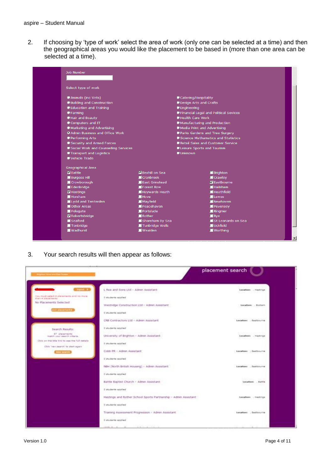2. If choosing by 'type of work' select the area of work (only one can be selected at a time) and then the geographical areas you would like the placement to be based in (more than one area can be selected at a time).



3. Your search results will then appear as follows:

| <b>Augment Now And East Number 1988</b>                                                                           |                                                                                                                              | placement search                                                                        |
|-------------------------------------------------------------------------------------------------------------------|------------------------------------------------------------------------------------------------------------------------------|-----------------------------------------------------------------------------------------|
| <b>Ugast - F.</b>                                                                                                 | L Rea and Sons Ltd - Admin Assistant                                                                                         | Location: . Hestings<br>10 O O                                                          |
| You must paint 4 plainments and ris More<br>than a statements.<br>No Placements Selected                          | Distincts applied<br>Westridge Construction Ltd - Admin Assistant                                                            | Location: . Endiam                                                                      |
| <b>MESOS SERVICE</b>                                                                                              | 0 students applied:<br>CRB-Contractors Ltd - Admin Assistant                                                                 | Location: Eastbourne                                                                    |
| Search Results:<br>27 placements<br>mailth your search offeria-<br>Click on the bite like to one the full details | Disturbants applied<br>HE FOULOGRAPH IN<br>University of Brighton - Admin Assistant<br><u>n sebuah di sebuah kali di seb</u> | Activities of the Committee of the Committee<br>Locations . Hestings<br>100 원이 들어 있다 게임 |
| Click 'nen search' to start again<br><b>Several Markets</b>                                                       | I students applied<br>Cobb PR - Admin Assistant                                                                              | Locations : Eastbourne                                                                  |
|                                                                                                                   | 0 students applied<br>NBH (North British Housing) - Admin Assistant                                                          | Encations . Eastbourne                                                                  |
|                                                                                                                   | C-students abotted<br>and the first of in pit London<br>Battle Baptist Church - Adnes Assistant                              | 249,300 330<br>Localines  Battle<br>wa ce                                               |
|                                                                                                                   | 2 students applied<br>Hastings and Rother School Sports Partnership - Admin Assistant                                        | Lecations . nastings                                                                    |
|                                                                                                                   | 3 students abstract<br>Training Assessment Progression - Admin Assistant                                                     | Locations . Excitenants                                                                 |
|                                                                                                                   | I students applied                                                                                                           |                                                                                         |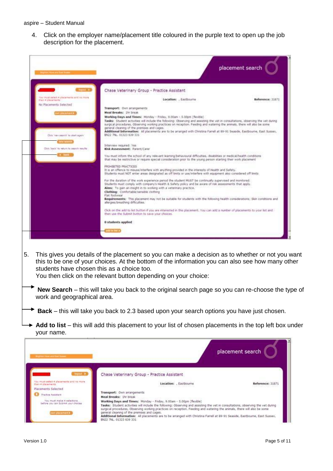4. Click on the employer name/placement title coloured in the purple text to open up the job description for the placement.

|                                                               | Chase Veterinary Group - Practice Assistant                                                                                                                                                                                                                                                                                                                                                                                                                                                                                                |                  |
|---------------------------------------------------------------|--------------------------------------------------------------------------------------------------------------------------------------------------------------------------------------------------------------------------------------------------------------------------------------------------------------------------------------------------------------------------------------------------------------------------------------------------------------------------------------------------------------------------------------------|------------------|
| four must salait 4 placements and no more<br>Han 4 Starshelts | Location: , Eastbourne                                                                                                                                                                                                                                                                                                                                                                                                                                                                                                                     | Reference: 31871 |
| No Placements Selected                                        | Transport: Own arrangements                                                                                                                                                                                                                                                                                                                                                                                                                                                                                                                |                  |
|                                                               | Meal Breaks: Ifr break                                                                                                                                                                                                                                                                                                                                                                                                                                                                                                                     |                  |
| Click Train search in start again.                            | Working Days and Times: Monday + Friday, 9:00am + 5:00pm (flexible)<br>Tasks: Student activities will include the following: Observing and assisting the vet in consultations, observing the vet during<br>surgical procedures. Observing working practices on reception. Feeding and watering the animals, there will also be some<br>general cleaning of the premises and cages.<br>Additional Information: All placements are to be arranged with Christina Farrel at 89-91 Seaude, Eastbourne, East Sussex,<br>BN22 7NL, 01223 639 331 |                  |
| Disk-'back' for refurn to exerch results:                     | Interview required: Yes<br>Risk Assessment: Parent/Carer                                                                                                                                                                                                                                                                                                                                                                                                                                                                                   |                  |
|                                                               | You must inform the school of any relevant learning/behavioural difficulties, disabilities or medical/health conditions<br>that may be restrictive or require special consideration pror to the young person starting their work placement                                                                                                                                                                                                                                                                                                 |                  |
|                                                               | PROHIBITED PRACTICES<br>It is an offence to misuse/interfere with anything provided in the interests of Health and Safety.<br>Students must NOT enter areas designated as off limits or use/interfere with equipment also considered off limits.                                                                                                                                                                                                                                                                                           |                  |
|                                                               | For the duration of the work experience period the student MUST be continually supervised and monitored.<br>Students must comply with company's Health & Safety policy and be aware of risk assessments that apply.<br>Aims: To gain an insight in to working with a veterinary practice.<br>Clothing: Confortable/sensible clothing<br>Flat footwear<br>Requirements: This placement may not be suitable for students with the following health considerations: Skin conditions and<br>allergies/breathing difficulties.                  |                  |
|                                                               | Click on the add to list button if you are interested in this placement. You can add a number of placements to your list and<br>then use the Submit button to save your choices.                                                                                                                                                                                                                                                                                                                                                           |                  |
|                                                               | 0 students applied                                                                                                                                                                                                                                                                                                                                                                                                                                                                                                                         |                  |
|                                                               |                                                                                                                                                                                                                                                                                                                                                                                                                                                                                                                                            |                  |
|                                                               |                                                                                                                                                                                                                                                                                                                                                                                                                                                                                                                                            |                  |
| students have chosen this as a choice too.                    | This gives you details of the placement so you can make a decision as to whether or not you want<br>this to be one of your choices. At the bottom of the information you can also see how many other                                                                                                                                                                                                                                                                                                                                       |                  |

**Add to list** – this will add this placement to your list of chosen placements in the top left box under your name.

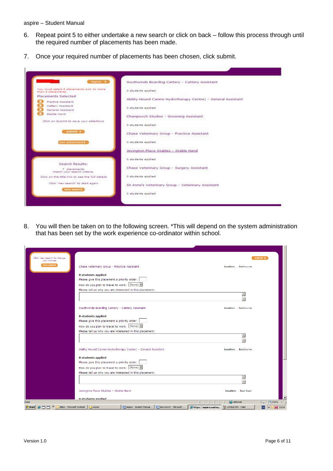- 6. Repeat point 5 to either undertake a new search or click on back follow this process through until the required number of placements has been made.
- 7. Once your required number of placements has been chosen, click submit.



8. You will then be taken on to the following screen. \*This will depend on the system administration that has been set by the work experience co-ordinator within school.

| Click 'new search' to change<br>submit $\blacktriangleright$<br>your choices<br>new search<br>Chase Veterinary Group - Practice Assistant<br>Location: . Eastbourne<br>0 students applied<br>Please give this placement a priority order:    |
|----------------------------------------------------------------------------------------------------------------------------------------------------------------------------------------------------------------------------------------------|
|                                                                                                                                                                                                                                              |
|                                                                                                                                                                                                                                              |
|                                                                                                                                                                                                                                              |
|                                                                                                                                                                                                                                              |
| How do you plan to travel to work: $(None)$                                                                                                                                                                                                  |
| Please tell us why you are interested in this placement:                                                                                                                                                                                     |
| $\triangleq$<br>÷                                                                                                                                                                                                                            |
| Southwinds Boarding Cattery - Cattery Assistant<br>Location: , Eastbourne                                                                                                                                                                    |
| 0 students applied                                                                                                                                                                                                                           |
| Please give this placement a priority order:                                                                                                                                                                                                 |
| How do you plan to travel to work: (None)                                                                                                                                                                                                    |
| Please tell us why you are interested in this placement:                                                                                                                                                                                     |
|                                                                                                                                                                                                                                              |
| Ability Hound Canine Hydrotherapy Centre) - General Assistant<br>Location: . Eastbourne                                                                                                                                                      |
| 0 students applied                                                                                                                                                                                                                           |
| Please give this placement a priority order:                                                                                                                                                                                                 |
| How do you plan to travel to work: $(None)$                                                                                                                                                                                                  |
| Please tell us why you are interested in this placement:                                                                                                                                                                                     |
| $\triangle$<br>$\overline{\phantom{0}}$                                                                                                                                                                                                      |
| Jevington Place Stables - Stable Hand<br>Location: , East Dean                                                                                                                                                                               |
| <b>N</b> ctudents annlied<br>$\sqrt{2}$ v $\frac{1}{2}$ 100% v $\frac{1}{4}$<br><b>O</b> Internet<br>Done                                                                                                                                    |
| Aspire - Student Manual    [9] Document1 - Microsoft<br>$M$ 10:04<br>Inbox - Microsoft Outlook<br>$\ \mathcal{E}$ https://aspire.eastsu<br>EN<br><b>ATT</b><br>Aspire<br>In untitled.JPG - Paint<br><b>d'I</b> Start<br>$\frac{1}{\sqrt{2}}$ |

l,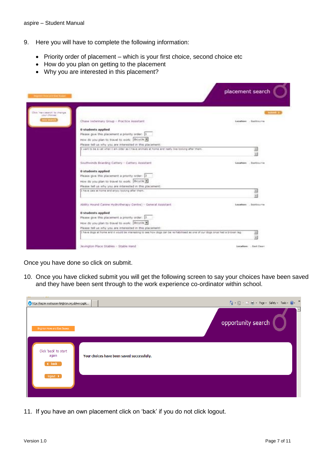- 9. Here you will have to complete the following information:
	- Priority order of placement which is your first choice, second choice etc
	- How do you plan on getting to the placement
	- Why you are interested in this placement?

| Improve received \$100 Now                                                                                                    | placement search             |                        |
|-------------------------------------------------------------------------------------------------------------------------------|------------------------------|------------------------|
| has search to change.<br>your choose.                                                                                         |                              |                        |
| .<br>Chase Veterinary Group - Practice Assistant                                                                              | is a factor with the company | Locations - Excitaurin |
| 0 students applied                                                                                                            |                              |                        |
| Please give this placement a priority order: 1                                                                                |                              |                        |
| How do you plan to travel to work: Bicycle in                                                                                 |                              |                        |
| Please tell us infly you are interested in this placement.                                                                    |                              |                        |
| I went to be a vet unex I am older as I have enimate at home and really blue tooking after them.                              |                              |                        |
|                                                                                                                               |                              |                        |
| Southwinds Boarding Cattery - Cattery Aquistant                                                                               |                              | Location: Bestouvine   |
| 0 students applied.                                                                                                           |                              |                        |
| Please give the placement a prooty order: [2]                                                                                 |                              |                        |
| How do you plan to travel to work: Bicycle >                                                                                  |                              |                        |
| Please tell us why you are interested in this placement:                                                                      |                              |                        |
| I have cata at home and ersey rocking after them.                                                                             |                              |                        |
|                                                                                                                               |                              |                        |
| Ability Hound Carsne Hydrotherapy Centre) - General Assistant                                                                 |                              | Location: . Exitiourne |
| <b>0 students applied</b>                                                                                                     |                              |                        |
| Please give this placement a priority order: [3]                                                                              |                              |                        |
| How do you plan to travel to work: [Ricycle H]                                                                                |                              |                        |
| Please tell us why you are interested in this placement:                                                                      |                              |                        |
| I have dogs at home and it would be interesting to see how dogs can be re-habilities at one of our dogs and that a brown leg. |                              |                        |
|                                                                                                                               |                              |                        |
| Jeyngton Place Stables - Stable Hand                                                                                          |                              | Location:  Each Coav   |

Once you have done so click on submit.

10. Once you have clicked submit you will get the following screen to say your choices have been saved and they have been sent through to the work experience co-ordinator within school.

| $\mathbf{r}$<br>https://aspire.eastsussex-brighton.org.uk/wexpupilc |                                            | △ • 5 • □ ● • Page • Safety • Tools • ● • <sup>&gt;</sup> |
|---------------------------------------------------------------------|--------------------------------------------|-----------------------------------------------------------|
| <b>Brighton Hove and East Sussex</b>                                |                                            | $\blacktriangle$<br>opportunity search                    |
| Click 'back' to start<br>again<br>$\blacktriangleleft$ back         | Your choices have been saved successfully. |                                                           |
| logout $\rightarrow$                                                |                                            |                                                           |

11. If you have an own placement click on 'back' if you do not click logout.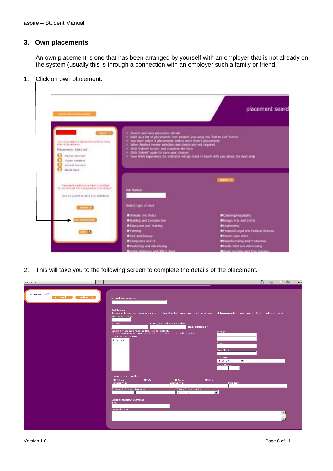#### **3. Own placements**

An own placement is one that has been arranged by yourself with an employer that is not already on the system (usually this is through a connection with an employer such a family or friend.

1. Click on own placement.



2. This will take you to the following screen to complete the details of the placement.

| aspire.net<br>Samuel Alff<br>submit $\blacktriangleright$<br>$\blacktriangleleft$ back | $\begin{picture}(150,10) \put(0,0){\line(1,0){10}} \put(15,0){\line(1,0){10}} \put(15,0){\line(1,0){10}} \put(15,0){\line(1,0){10}} \put(15,0){\line(1,0){10}} \put(15,0){\line(1,0){10}} \put(15,0){\line(1,0){10}} \put(15,0){\line(1,0){10}} \put(15,0){\line(1,0){10}} \put(15,0){\line(1,0){10}} \put(15,0){\line(1,0){10}} \put(15,0){\line($<br><b>Provider Name</b><br><b>Address</b><br>To search for an address, either enter the full post code or the street and town/partial post code. Click 'find address'.<br>Full Post Code:<br>Town/Partial Post Code:<br>Street:<br>find address ><br>Click on an address in the list to select.<br>If the address cannot be found then enter the full details.<br>Street:<br>Addresses found:<br>(none)<br>Area:<br>Post Town:<br>County:<br>⊡∣<br>(none) |  |
|----------------------------------------------------------------------------------------|---------------------------------------------------------------------------------------------------------------------------------------------------------------------------------------------------------------------------------------------------------------------------------------------------------------------------------------------------------------------------------------------------------------------------------------------------------------------------------------------------------------------------------------------------------------------------------------------------------------------------------------------------------------------------------------------------------------------------------------------------------------------------------------------------------------|--|
|                                                                                        | Post Code:<br><b>Contact Details</b><br>Mr<br>Mrs<br>MSE<br>Miss<br>Surname:<br>Position:<br>Forename:<br><b>Extra Information:</b><br>Phone 1 Code: Number:<br>$\overline{\phantom{a}}$<br>(none)<br><b>Opportunity Details</b><br>Title:<br>Description<br>$\vert - \vert$<br>$-1$                                                                                                                                                                                                                                                                                                                                                                                                                                                                                                                          |  |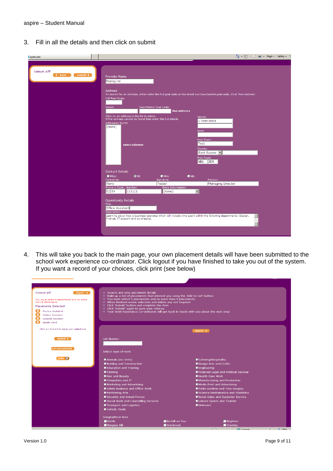3. Fill in all the details and then click on submit

| aspire.net                                                               |                                                                                                                                                                                                                                                                                                                                                                                                                                                                                                                                                         | △ • 5 • □ ● • Page • Safety • T                                   |
|--------------------------------------------------------------------------|---------------------------------------------------------------------------------------------------------------------------------------------------------------------------------------------------------------------------------------------------------------------------------------------------------------------------------------------------------------------------------------------------------------------------------------------------------------------------------------------------------------------------------------------------------|-------------------------------------------------------------------|
|                                                                          |                                                                                                                                                                                                                                                                                                                                                                                                                                                                                                                                                         |                                                                   |
| Samuel Alff<br>$\blacktriangleleft$ back<br>submit $\blacktriangleright$ | <b>Provider Name</b><br>Testing Ltd<br><b>Address</b><br>To search for an address, either enter the full post code or the street and town/partial post code. Click 'find address'.<br>Full Post Code:<br>Street:<br>Town/Partial Post Code:<br>find address ><br>Click on an address in the list to select.<br>Street:<br>If the address cannot be found then enter the full details.<br>1 Test Drive<br>Addresses found:<br>(none)<br>Area:<br>Post Town:<br>Test<br>select address><br>County:<br>East Sussex<br>Post Code:<br>NB <sub>1</sub><br>3DR |                                                                   |
|                                                                          | <b>Contact Details</b><br>$@$ Mr<br>Mrs<br>$M_{\rm NS}$<br><b>Miss</b><br>Forename:<br>Surname:<br>Position:<br>Tester<br>Terry<br>Phone 1 Code: Number:<br>Extra Information:<br>$\overline{\phantom{a}}$<br>111111<br>(none)<br>01234<br><b>Opportunity Details</b><br>Title<br>Office Assistant<br><b>Description</b><br>Learning about how a business operates which will include time spent within the following departments: Design,<br>finance, IT support and purchasing.                                                                       | Managing Director<br>$\blacktriangle$<br>$\overline{\phantom{a}}$ |

4. This will take you back to the main page, your own placement details will have been submitted to the school work experience co-ordinator. Click logout if you have finished to take you out of the system. If you want a record of your choices, click print (see below)

| Samuel Alff<br>logout                    | ♦ Search and view placement details                                              |                                                                                         |                                               |                           |                        |
|------------------------------------------|----------------------------------------------------------------------------------|-----------------------------------------------------------------------------------------|-----------------------------------------------|---------------------------|------------------------|
|                                          | ♦ Build up a list of placements that interest you using the 'Add to List' button |                                                                                         |                                               |                           |                        |
| You must select 4 placements and no more | ♦ You must select 4 placements and no more than 4 placements                     |                                                                                         |                                               |                           |                        |
| than 4 placements                        | ♦ When finished review selection and delete any not required                     |                                                                                         |                                               |                           |                        |
| <b>Placements Selected</b>               |                                                                                  | Click 'Submit' button and complete the form                                             |                                               |                           |                        |
| <b>Practice Assistant</b>                |                                                                                  | Click 'Submit' again to save your choices                                               |                                               |                           |                        |
| Cattery Assistant                        |                                                                                  | ♦ Your Work Experience Co-ordinator will get back in touch with you about the next step |                                               |                           |                        |
| General Assistant                        |                                                                                  |                                                                                         |                                               |                           |                        |
| Stable Hand                              |                                                                                  |                                                                                         |                                               |                           |                        |
| Click on Submit to save your selections  |                                                                                  |                                                                                         | search $\blacktriangleright$                  |                           |                        |
|                                          |                                                                                  |                                                                                         |                                               |                           |                        |
| submit $\blacktriangleright$             | Job Number                                                                       |                                                                                         |                                               |                           |                        |
|                                          |                                                                                  |                                                                                         |                                               |                           |                        |
| own placement                            | Select type of work                                                              |                                                                                         |                                               |                           |                        |
| print $\Box$                             | C Animals (inc Vets)                                                             |                                                                                         | Catering/Hospitality                          |                           |                        |
|                                          | <b>D</b> Building and Construction                                               |                                                                                         | <b>Design Arts and Crafts</b>                 |                           |                        |
|                                          | <b>Deducation and Training</b>                                                   |                                                                                         | <b>D</b> Engineering                          |                           |                        |
|                                          | $F = F$ Farming                                                                  |                                                                                         | <b>OFinancial Legal and Political Sevices</b> |                           |                        |
|                                          |                                                                                  |                                                                                         | Health Care Work                              |                           |                        |
|                                          | Hair and Beauty                                                                  |                                                                                         |                                               |                           |                        |
|                                          | Computers and IT                                                                 |                                                                                         | Manufacturing and Production                  |                           |                        |
|                                          | <b>Marketing and Advertising</b>                                                 |                                                                                         | <b>Media Print and Advertising</b>            |                           |                        |
|                                          | Admin Business and Office Work                                                   |                                                                                         | Parks Gardens and Tree Surgery                |                           |                        |
|                                          | Performing Arts                                                                  |                                                                                         | Science Mathamatics and Statistics            |                           |                        |
|                                          | Security and Armed Forces                                                        |                                                                                         | <b>O</b> Retail Sales and Customer Service    |                           |                        |
|                                          | Social Work and Counselling Services                                             |                                                                                         | Leisure Sports and Tourism                    |                           |                        |
|                                          | <b>O</b> Transport and Logistics                                                 |                                                                                         | Unknown                                       |                           |                        |
|                                          | Wehicle Trade                                                                    |                                                                                         |                                               |                           |                        |
|                                          | Geographical Area                                                                |                                                                                         |                                               |                           |                        |
|                                          | $\blacksquare$ Battle                                                            | Bexhill on Sea                                                                          |                                               | $\blacksquare$ Brighton   |                        |
|                                          | <b>Burgess Hill</b>                                                              | Cranbrook                                                                               |                                               | $\blacksquare$ Crawley    |                        |
|                                          |                                                                                  |                                                                                         |                                               | <b>Ext Ext C</b> Internet | $\sqrt{6x-1}$ $+100$ % |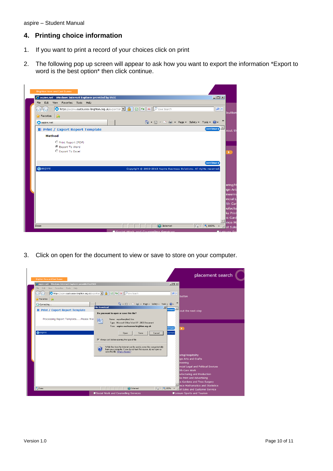aspire – Student Manual

### **4. Printing choice information**

- 1. If you want to print a record of your choices click on print
- 2. The following pop up screen will appear to ask how you want to export the information \*Export to word is the best option\* then click continue.

| File Edit View Favorites Tools Help       |  | $\Box$                                                                |
|-------------------------------------------|--|-----------------------------------------------------------------------|
|                                           |  | $\rho$ .                                                              |
| $\leftrightarrow$ Favorites $\frac{1}{2}$ |  |                                                                       |
| aspire.net                                |  | $\gg$<br>A → 同 → □ ■ → Page → Safety → Tools → ② →                    |
| Print / Export Report Template            |  | continue)                                                             |
| <b>Method</b>                             |  |                                                                       |
| O Print Report (PDF)                      |  |                                                                       |
| C Export To Word<br>C Export To Excel     |  |                                                                       |
|                                           |  |                                                                       |
|                                           |  | continue)                                                             |
| aspire                                    |  | Copyright @ 2002-2013 Aspire Business Solutions. All rights reserved. |
|                                           |  |                                                                       |
|                                           |  |                                                                       |
|                                           |  |                                                                       |
|                                           |  |                                                                       |
|                                           |  |                                                                       |
|                                           |  |                                                                       |
|                                           |  |                                                                       |
|                                           |  |                                                                       |

3. Click on open for the document to view or save to store on your computer.